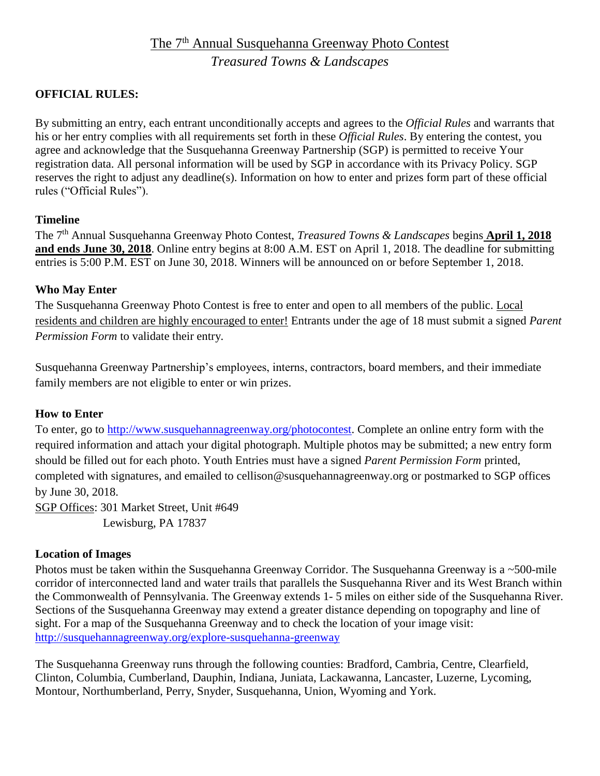# The 7<sup>th</sup> Annual Susquehanna Greenway Photo Contest *Treasured Towns & Landscapes*

## **OFFICIAL RULES:**

By submitting an entry, each entrant unconditionally accepts and agrees to the *Official Rules* and warrants that his or her entry complies with all requirements set forth in these *Official Rules*. By entering the contest, you agree and acknowledge that the Susquehanna Greenway Partnership (SGP) is permitted to receive Your registration data. All personal information will be used by SGP in accordance with its Privacy Policy. SGP reserves the right to adjust any deadline(s). Information on how to enter and prizes form part of these official rules ("Official Rules").

#### **Timeline**

The 7 th Annual Susquehanna Greenway Photo Contest, *Treasured Towns & Landscapes* begins **April 1, 2018 and ends June 30, 2018**. Online entry begins at 8:00 A.M. EST on April 1, 2018. The deadline for submitting entries is 5:00 P.M. EST on June 30, 2018. Winners will be announced on or before September 1, 2018.

#### **Who May Enter**

The Susquehanna Greenway Photo Contest is free to enter and open to all members of the public. Local residents and children are highly encouraged to enter! Entrants under the age of 18 must submit a signed *Parent Permission Form* to validate their entry*.*

Susquehanna Greenway Partnership's employees, interns, contractors, board members, and their immediate family members are not eligible to enter or win prizes.

#### **How to Enter**

To enter, go to [http://www.susquehannagreenway.org/photocontest.](http://www.susquehannagreenway.org/photocontest) Complete an online entry form with the required information and attach your digital photograph. Multiple photos may be submitted; a new entry form should be filled out for each photo. Youth Entries must have a signed *Parent Permission Form* printed, completed with signatures, and emailed to cellison@susquehannagreenway.org or postmarked to SGP offices by June 30, 2018.

SGP Offices: 301 Market Street, Unit #649 Lewisburg, PA 17837

#### **Location of Images**

Photos must be taken within the Susquehanna Greenway Corridor. The Susquehanna Greenway is a ~500-mile corridor of interconnected land and water trails that parallels the Susquehanna River and its West Branch within the Commonwealth of Pennsylvania. The Greenway extends 1- 5 miles on either side of the Susquehanna River. Sections of the Susquehanna Greenway may extend a greater distance depending on topography and line of sight. For a map of the Susquehanna Greenway and to check the location of your image visit: <http://susquehannagreenway.org/explore-susquehanna-greenway>

The Susquehanna Greenway runs through the following counties: Bradford, Cambria, Centre, Clearfield, Clinton, Columbia, Cumberland, Dauphin, Indiana, Juniata, Lackawanna, Lancaster, Luzerne, Lycoming, Montour, Northumberland, Perry, Snyder, Susquehanna, Union, Wyoming and York.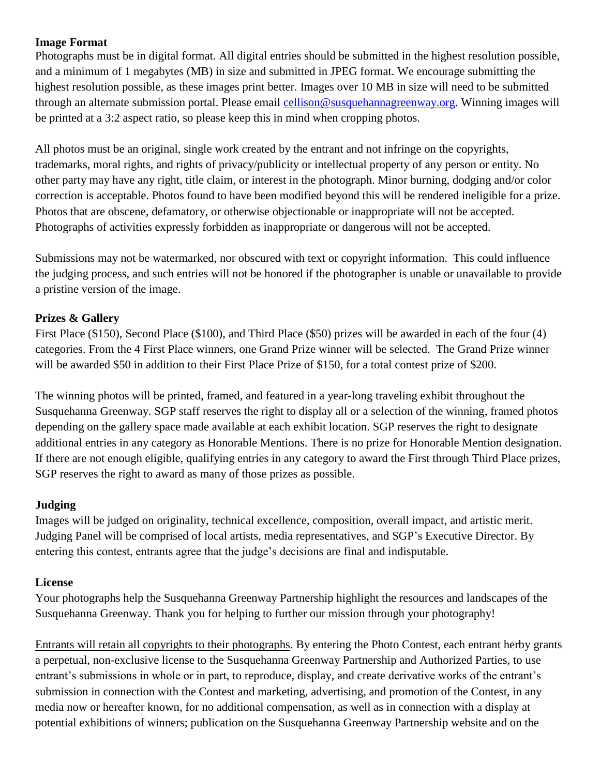#### **Image Format**

Photographs must be in digital format. All digital entries should be submitted in the highest resolution possible, and a minimum of 1 megabytes (MB) in size and submitted in JPEG format. We encourage submitting the highest resolution possible, as these images print better. Images over 10 MB in size will need to be submitted through an alternate submission portal. Please email [cellison@susquehannagreenway.org.](mailto:cellison@susquehannagreenway.org) Winning images will be printed at a 3:2 aspect ratio, so please keep this in mind when cropping photos.

All photos must be an original, single work created by the entrant and not infringe on the copyrights, trademarks, moral rights, and rights of privacy/publicity or intellectual property of any person or entity. No other party may have any right, title claim, or interest in the photograph. Minor burning, dodging and/or color correction is acceptable. Photos found to have been modified beyond this will be rendered ineligible for a prize. Photos that are obscene, defamatory, or otherwise objectionable or inappropriate will not be accepted. Photographs of activities expressly forbidden as inappropriate or dangerous will not be accepted.

Submissions may not be watermarked, nor obscured with text or copyright information. This could influence the judging process, and such entries will not be honored if the photographer is unable or unavailable to provide a pristine version of the image.

# **Prizes & Gallery**

First Place (\$150), Second Place (\$100), and Third Place (\$50) prizes will be awarded in each of the four (4) categories. From the 4 First Place winners, one Grand Prize winner will be selected. The Grand Prize winner will be awarded \$50 in addition to their First Place Prize of \$150, for a total contest prize of \$200.

The winning photos will be printed, framed, and featured in a year-long traveling exhibit throughout the Susquehanna Greenway. SGP staff reserves the right to display all or a selection of the winning, framed photos depending on the gallery space made available at each exhibit location. SGP reserves the right to designate additional entries in any category as Honorable Mentions. There is no prize for Honorable Mention designation. If there are not enough eligible, qualifying entries in any category to award the First through Third Place prizes, SGP reserves the right to award as many of those prizes as possible.

# **Judging**

Images will be judged on originality, technical excellence, composition, overall impact, and artistic merit. Judging Panel will be comprised of local artists, media representatives, and SGP's Executive Director. By entering this contest, entrants agree that the judge's decisions are final and indisputable.

# **License**

Your photographs help the Susquehanna Greenway Partnership highlight the resources and landscapes of the Susquehanna Greenway. Thank you for helping to further our mission through your photography!

Entrants will retain all copyrights to their photographs. By entering the Photo Contest, each entrant herby grants a perpetual, non-exclusive license to the Susquehanna Greenway Partnership and Authorized Parties, to use entrant's submissions in whole or in part, to reproduce, display, and create derivative works of the entrant's submission in connection with the Contest and marketing, advertising, and promotion of the Contest, in any media now or hereafter known, for no additional compensation, as well as in connection with a display at potential exhibitions of winners; publication on the Susquehanna Greenway Partnership website and on the